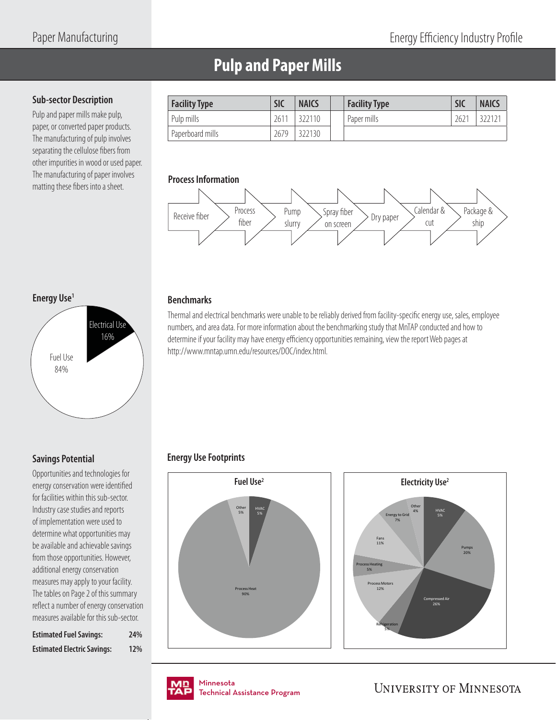# **Pulp and Paper Mills**

#### **Sub-sector Description**

Pulp and paper mills make pulp, paper, or converted paper products. The manufacturing of pulp involves separating the cellulose fibers from other impurities in wood or used paper. The manufacturing of paper involves Ine manufacturing of paper involves<br>matting these fibers into a sheet.

| <b>Facility Type</b>          | <b>SIC</b> | <b>NAICS</b> | <b>Facility Type</b> | <b>SIC</b>    | <b>NAICS</b> |
|-------------------------------|------------|--------------|----------------------|---------------|--------------|
| Pulp mills                    | 2611       | 322110       | Paper mills          | $262^{\circ}$ |              |
| <sup>1</sup> Paperboard mills | 2679       | 322130       |                      |               |              |



### **Energy Use1**

**Savings Potential**

Opportunities and technologies for energy conservation were identified for facilities within this sub-sector. Industry case studies and reports of implementation were used to determine what opportunities may be available and achievable savings from those opportunities. However, additional energy conservation measures may apply to your facility. The tables on Page 2 of this summary reflect a number of energy conservation measures available for this sub-sector. **Estimated Fuel Savings: 24% Estimated Electric Savings: 12%**



#### **Benchmarks**

Thermal and electrical benchmarks were unable to be reliably derived from facility-specific energy use, sales, employee numbers, and area data. For more information about the benchmarking study that MnTAP conducted and how to determine if your facility may have energy efficiency opportunities remaining, view the report Web pages at http://www.mntap.umn.edu/resources/DOC/index.html.

### **Energy Use Footprints**







nmesota<br>:chnical Assis Technical Assistance Program .<br>Tochnical / Technical Assistance Program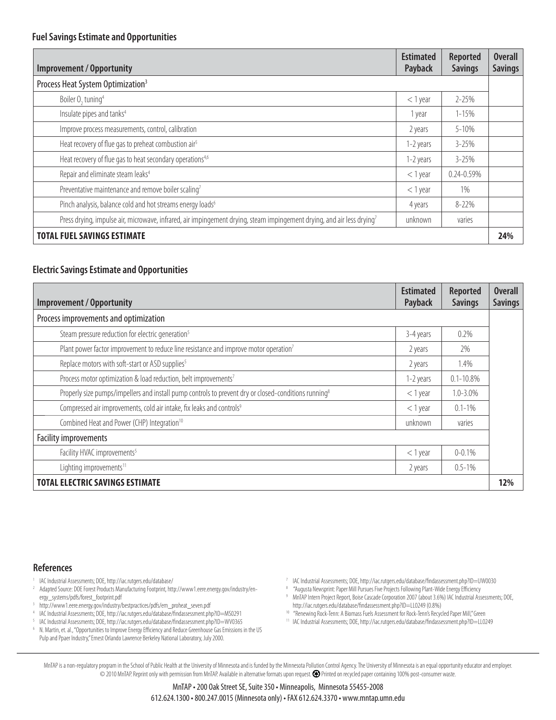| <b>Improvement / Opportunity</b>                                                                                                   | <b>Estimated</b><br>Payback | <b>Reported</b><br><b>Savings</b> | Overall<br><b>Savings</b> |
|------------------------------------------------------------------------------------------------------------------------------------|-----------------------------|-----------------------------------|---------------------------|
| Process Heat System Optimization <sup>3</sup>                                                                                      |                             |                                   |                           |
| Boiler O <sub>2</sub> tuning <sup>4</sup>                                                                                          | $<$ 1 year                  | $2 - 25%$                         |                           |
| Insulate pipes and tanks <sup>4</sup>                                                                                              | 1 year                      | $1 - 15%$                         |                           |
| Improve process measurements, control, calibration                                                                                 | 2 years                     | 5-10%                             |                           |
| Heat recovery of flue gas to preheat combustion air <sup>5</sup>                                                                   | 1-2 years                   | $3 - 25%$                         |                           |
| Heat recovery of flue gas to heat secondary operations <sup>4,6</sup>                                                              | 1-2 years                   | $3 - 25%$                         |                           |
| Repair and eliminate steam leaks <sup>4</sup>                                                                                      | $<$ 1 year                  | $0.24 - 0.59\%$                   |                           |
| Preventative maintenance and remove boiler scaling7                                                                                | $<$ 1 year                  | 1%                                |                           |
| Pinch analysis, balance cold and hot streams energy loads <sup>6</sup>                                                             | 4 years                     | $8 - 22%$                         |                           |
| Press drying, impulse air, microwave, infrared, air impingement drying, steam impingement drying, and air less drying <sup>7</sup> | unknown                     | varies                            |                           |
| <b>TOTAL FUEL SAVINGS ESTIMATE</b>                                                                                                 |                             |                                   | 24%                       |

#### **Electric Savings Estimate and Opportunities**

| Improvement / Opportunity                                                                                        | <b>Estimated</b><br>Payback | <b>Reported</b><br><b>Savings</b> | <b>Overall</b><br><b>Savings</b> |
|------------------------------------------------------------------------------------------------------------------|-----------------------------|-----------------------------------|----------------------------------|
| Process improvements and optimization                                                                            |                             |                                   |                                  |
| Steam pressure reduction for electric generation <sup>5</sup>                                                    | 3-4 years                   | $0.2\%$                           |                                  |
| Plant power factor improvement to reduce line resistance and improve motor operation <sup>7</sup>                | 2 years                     | 2%                                |                                  |
| Replace motors with soft-start or ASD supplies <sup>5</sup>                                                      | 2 years                     | 1.4%                              |                                  |
| Process motor optimization & load reduction, belt improvements <sup>7</sup>                                      | 1-2 years                   | $0.1 - 10.8\%$                    |                                  |
| Properly size pumps/impellers and install pump controls to prevent dry or closed-conditions running <sup>8</sup> | $<$ 1 year                  | $1.0 - 3.0\%$                     |                                  |
| Compressed air improvements, cold air intake, fix leaks and controls <sup>9</sup>                                | $<$ 1 year                  | $0.1 - 1\%$                       |                                  |
| Combined Heat and Power (CHP) Integration <sup>10</sup>                                                          | unknown                     | varies                            |                                  |
| <b>Facility improvements</b>                                                                                     |                             |                                   |                                  |
| Facility HVAC improvements <sup>5</sup>                                                                          | $<$ 1 year                  | $0 - 0.1\%$                       |                                  |
| Lighting improvements <sup>11</sup>                                                                              | 2 years                     | $0.5 - 1\%$                       |                                  |
| <b>TOTAL ELECTRIC SAVINGS ESTIMATE</b>                                                                           |                             |                                   | 12%                              |

#### **References**

- 1 IAC Industrial Assessments; DOE, http://iac.rutgers.edu/database/
- 2 Adapted Source: DOE Forest Products Manufacturing Footprint, http://www1.eere.energy.gov/industry/energy\_systems/pdfs/forest\_footprint.pdf
- 3 http://www1.eere.energy.gov/industry/bestpractices/pdfs/em\_proheat\_seven.pdf
- 4 IAC Industrial Assessments; DOE, http://iac.rutgers.edu/database/fi ndassessment.php?ID=MS0291
- <sup>5</sup> IAC Industrial Assessments; DOE, http://iac.rutgers.edu/database/findassessment.php?ID=WV0365<br><sup>6</sup> N Martin et al. "Opportunities to Improve Foemy Efficiency and Reduce Greenbouse Gas Emissions i
- N. Martin, et. al., "Opportunities to Improve Energy Efficiency and Reduce Greenhouse Gas Emissions in the US Pulp and Ppaer Industry," Ernest Orlando Lawrence Berkeley National Laboratory, July 2000.
- <sup>7</sup> IAC Industrial Assessments; DOE, http://iac.rutgers.edu/database/findassessment.php?ID=UW0030
- <sup>8</sup> "Augusta Newsprint: Paper Mill Pursues Five Projects Following Plant-Wide Energy Efficiency
- <sup>9</sup> MnTAP Intern Project Report, Boise Cascade Corporation 2007 (about 3.6%) IAC Industrial Assessments; DOE, http://iac.rutgers.edu/database/findassessment.php?ID=LL0249 (0.8%)
- <sup>10</sup> "Renewing Rock-Tenn: A Biomass Fuels Assessment for Rock-Tenn's Recycled Paper Mill," Green <sup>11</sup> IAC Industrial Assessments; DOE, http://iac.rutgers.edu/database/findassessment.php?ID=LL0249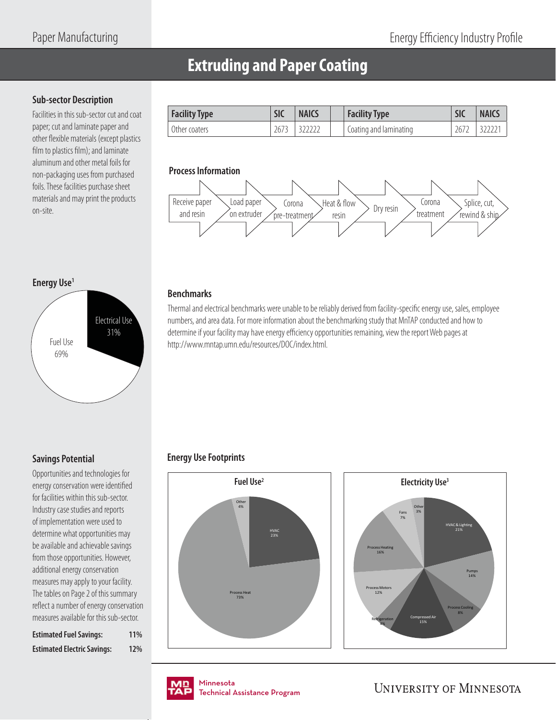## **Extruding and Paper Coating**

#### **Sub-sector Description**

Facilities in this sub-sector cut and coat paper; cut and laminate paper and other flexible materials (except plastics film to plastics film); and laminate aluminum and other metal foils for non-packaging uses from purchased foils. These facilities purchase sheet materials and may print the products on-site.

| <b>Facility Type</b> | SIC  | <b>NAICS</b> | <b>Facility Type</b>   | <b>SIC</b>  | <b>NAICS</b> |
|----------------------|------|--------------|------------------------|-------------|--------------|
| Other coaters        | 2673 |              | Coating and laminating | $267^\circ$ |              |

#### **Process Information**



#### **Energy Use1**

**Savings Potential**

Opportunities and technologies for energy conservation were identified for facilities within this sub-sector. Industry case studies and reports of implementation were used to determine what opportunities may be available and achievable savings from those opportunities. However, additional energy conservation measures may apply to your facility. The tables on Page 2 of this summary reflect a number of energy conservation measures available for this sub-sector. **Estimated Fuel Savings: 11% Estimated Electric Savings: 12%**



#### **Benchmarks**

Thermal and electrical benchmarks were unable to be reliably derived from facility-specific energy use, sales, employee numbers, and area data. For more information about the benchmarking study that MnTAP conducted and how to determine if your facility may have energy efficiency opportunities remaining, view the report Web pages at http://www.mntap.umn.edu/resources/DOC/index.html.

### **Energy Use Footprints**







nmesota<br>:chnical Assis Technical Assistance Program .<br>Tochnical / Technical Assistance Program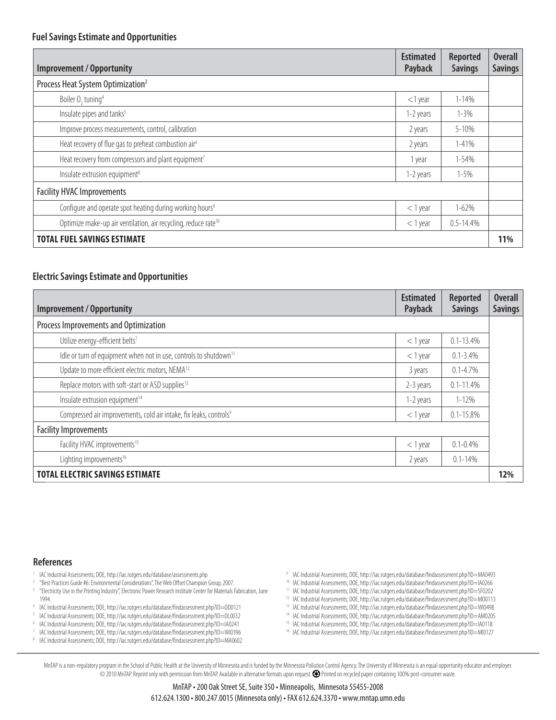| <b>Improvement / Opportunity</b>                                           | <b>Estimated</b><br>Payback | <b>Reported</b><br><b>Savings</b> | <b>Overall</b><br><b>Savings</b> |
|----------------------------------------------------------------------------|-----------------------------|-----------------------------------|----------------------------------|
| Process Heat System Optimization <sup>2</sup>                              |                             |                                   |                                  |
| Boiler O <sub>2</sub> tuning <sup>4</sup>                                  | $<$ 1 year                  | $1 - 14%$                         |                                  |
| Insulate pipes and tanks <sup>5</sup>                                      | 1-2 years                   | $1 - 3\%$                         |                                  |
| Improve process measurements, control, calibration                         | 2 years                     | $5 - 10%$                         |                                  |
| Heat recovery of flue gas to preheat combustion air <sup>6</sup>           | 2 years                     | 1-41%                             |                                  |
| Heat recovery from compressors and plant equipment <sup>7</sup>            | 1 year                      | $1 - 54%$                         |                                  |
| Insulate extrusion equipment <sup>8</sup>                                  | 1-2 years                   | $1 - 5%$                          |                                  |
| <b>Facility HVAC Improvements</b>                                          |                             |                                   |                                  |
| Configure and operate spot heating during working hours <sup>9</sup>       | $<$ 1 year                  | $1 - 62%$                         |                                  |
| Optimize make-up air ventilation, air recycling, reduce rate <sup>10</sup> | $<$ 1 year                  | $0.5 - 14.4%$                     |                                  |
| <b>TOTAL FUEL SAVINGS ESTIMATE</b>                                         |                             |                                   | 11%                              |

#### **Electric Savings Estimate and Opportunities**

| <b>Improvement / Opportunity</b>                                               | <b>Estimated</b><br>Payback | <b>Reported</b><br><b>Savings</b> | <b>Overall</b><br><b>Savings</b> |
|--------------------------------------------------------------------------------|-----------------------------|-----------------------------------|----------------------------------|
| Process Improvements and Optimization                                          |                             |                                   |                                  |
| Utilize energy-efficient belts <sup>7</sup>                                    | $<$ 1 year                  | $0.1 - 13.4%$                     |                                  |
| Idle or turn of equipment when not in use, controls to shutdown <sup>11</sup>  | $<$ 1 year                  | $0.1 - 3.4\%$                     |                                  |
| Update to more efficient electric motors, NEMA <sup>12</sup>                   | 3 years                     | $0.1 - 4.7\%$                     |                                  |
| Replace motors with soft-start or ASD supplies <sup>13</sup>                   | 2-3 years                   | $0.1 - 11.4\%$                    |                                  |
| Insulate extrusion equipment <sup>14</sup>                                     | 1-2 years                   | $1 - 12%$                         |                                  |
| Compressed air improvements, cold air intake, fix leaks, controls <sup>9</sup> | $<$ 1 year                  | $0.1 - 15.8\%$                    |                                  |
| <b>Facility Improvements</b>                                                   |                             |                                   |                                  |
| Facility HVAC improvements <sup>15</sup>                                       | $<$ 1 year                  | $0.1 - 0.4\%$                     |                                  |
| Lighting improvements <sup>16</sup>                                            | 2 years                     | $0.1 - 14%$                       |                                  |
| <b>TOTAL ELECTRIC SAVINGS ESTIMATE</b>                                         |                             |                                   | 12%                              |

#### **References**

- <sup>1</sup> IAC Industrial Assessments; DOE, http://iac.rutgers.edu/database/assessments.php
- <sup>2</sup> "Best Practices Guide #6: Environmental Considerations", The Web Offset Champion Group, 2007.
- 3 "Electricity Use in the Printing Industry", Electronic Power Research Institute Center for Materials Fabrication, June 1994. 4 IAC Industrial Assessments; DOE, http://iac.rutgers.edu/database/findassessment.php?ID=0D0121
- 
- <sup>5</sup> IAC Industrial Assessments; DOE, http://iac.rutgers.edu/database/findassessment.php?ID=DL0032<br><sup>6</sup> IAC Industrial Assessments: DOE, http://iac.rutgers.edu/database/findassessment.php?ID=IA0341 6 IAC Industrial Assessments; DOE, http://iac.rutgers.edu/database/fi ndassessment.php?ID=IA0241
- <sup>7</sup> IAC Industrial Assessments; DOE, http://iac.rutgers.edu/database/findassessment.php?ID=WI0396
- <sup>8</sup> IAC Industrial Assessments; DOE, http://iac.rutgers.edu/database/findassessment.php?ID=MA0602
- <sup>9</sup> IAC Industrial Assessments; DOE, http://iac.rutgers.edu/database/findassessment.php?ID=MA0493
- <sup>10</sup> IAC Industrial Assessments; DOE, http://iac.rutgers.edu/database/findassessment.php?ID=IA0266 <sup>11</sup> IAC Industrial Assessments; DOE, http://iac.rutgers.edu/database/findassessment.php?ID=SF0202
- <sup>12</sup> IAC Industrial Assessments; DOE, http://iac.rutgers.edu/database/findassessment.php?ID=MO0113
- <sup>13</sup> IAC Industrial Assessments; DOE, http://iac.rutgers.edu/database/findassessment.php?ID=WI0498
- <sup>14</sup> IAC Industrial Assessments; DOE, http://iac.rutgers.edu/database/findassessment.php?ID=AM0205
- <sup>15</sup> IAC Industrial Assessments; DOE, http://iac.rutgers.edu/database/findassessment.php?ID=IA0118
- <sup>16</sup> IAC Industrial Assessments; DOE, http://iac.rutgers.edu/database/findassessment.php?ID=MI0127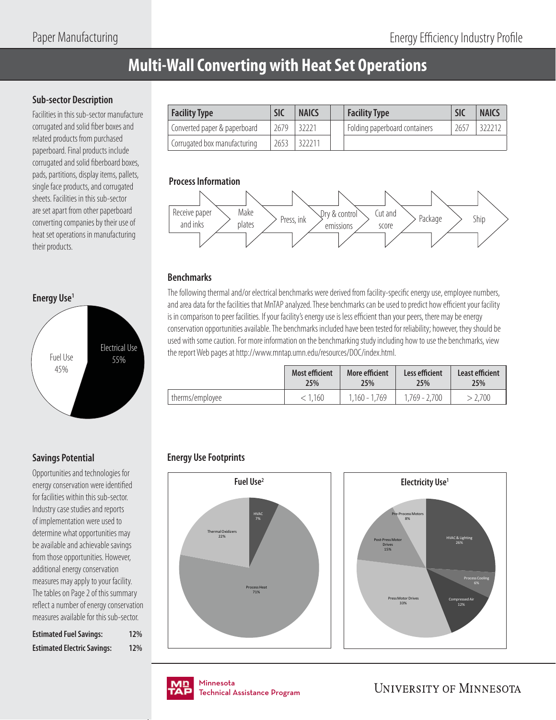# **Multi-Wall Converting with Heat Set Operations**

#### **Sub-sector Description**

Facilities in this sub-sector manufacture corrugated and solid fiber boxes and related products from purchased paperboard. Final products include corrugated and solid fiberboard boxes, pads, partitions, display items, pallets, single face products, and corrugated sheets. Facilities in this sub-sector are set apart from other paperboard converting companies by their use of heat set operations in manufacturing their products.



### **Savings Potential**

Opportunities and technologies for energy conservation were identified for facilities within this sub-sector. Industry case studies and reports of implementation were used to determine what opportunities may be available and achievable savings from those opportunities. However, additional energy conservation measures may apply to your facility. The tables on Page 2 of this summary reflect a number of energy conservation measures available for this sub-sector.

| <b>Estimated Fuel Savings:</b>     | 12% |
|------------------------------------|-----|
| <b>Estimated Electric Savings:</b> | 12% |

| <b>Facility Type</b>         | <b>SIC</b> | <b>NAICS</b> | <b>Facility Type</b>                       | <b>SIC</b> | <b>NAICS</b> |
|------------------------------|------------|--------------|--------------------------------------------|------------|--------------|
| Converted paper & paperboard | 2679       | 32221        | <sup>1</sup> Folding paperboard containers | 2657       |              |
| Corrugated box manufacturing | 2653       | 322211       |                                            |            |              |

#### **Process Information**



#### **Benchmarks**

The following thermal and/or electrical benchmarks were derived from facility-specific energy use, employee numbers, and area data for the facilities that MnTAP analyzed. These benchmarks can be used to predict how efficient your facility is in comparison to peer facilities. If your facility's energy use is less efficient than your peers, there may be energy conservation opportunities available. The benchmarks included have been tested for reliability; however, they should be used with some caution. For more information on the benchmarking study including how to use the benchmarks, view the report Web pages at http://www.mntap.umn.edu/resources/DOC/index.html.

|                 | <b>Most efficient</b> | More efficient  | Less efficient | Least efficient |
|-----------------|-----------------------|-----------------|----------------|-----------------|
|                 | 25%                   | 25%             | 25%            | 25%             |
| therms/employee | < 1.160               | $1.160 - 1.769$ | 1,769 - 2,700  | 2,700           |

### **Energy Use Footprints**







nmesota<br>:chnical Assis Technical Assistance Program .<br>Tochnical / Technical Assistance Program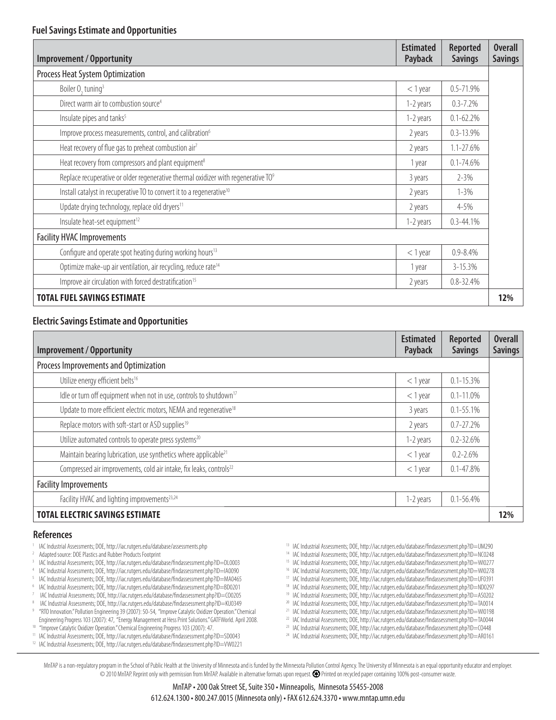| <b>Improvement / Opportunity</b>                                                              | <b>Estimated</b><br><b>Payback</b> | <b>Reported</b><br><b>Savings</b> | <b>Overall</b><br><b>Savings</b> |
|-----------------------------------------------------------------------------------------------|------------------------------------|-----------------------------------|----------------------------------|
| Process Heat System Optimization                                                              |                                    |                                   |                                  |
| Boiler O <sub>2</sub> tuning <sup>3</sup>                                                     | $<$ 1 year                         | $0.5 - 71.9%$                     |                                  |
| Direct warm air to combustion source <sup>4</sup>                                             | 1-2 years                          | $0.3 - 7.2%$                      |                                  |
| Insulate pipes and tanks <sup>5</sup>                                                         | 1-2 years                          | $0.1 - 62.2%$                     |                                  |
| Improve process measurements, control, and calibration <sup>6</sup>                           | 2 years                            | $0.3 - 13.9%$                     |                                  |
| Heat recovery of flue gas to preheat combustion air <sup>7</sup>                              | 2 years                            | $1.1 - 27.6%$                     |                                  |
| Heat recovery from compressors and plant equipment <sup>8</sup>                               | 1 year                             | $0.1 - 74.6%$                     |                                  |
| Replace recuperative or older regenerative thermal oxidizer with regenerative TO <sup>9</sup> | 3 years                            | $2 - 3%$                          |                                  |
| Install catalyst in recuperative TO to convert it to a regenerative <sup>10</sup>             | 2 years                            | $1 - 3\%$                         |                                  |
| Update drying technology, replace old dryers <sup>11</sup>                                    | 2 years                            | 4-5%                              |                                  |
| Insulate heat-set equipment <sup>12</sup>                                                     | 1-2 years                          | $0.3 - 44.1%$                     |                                  |
| <b>Facility HVAC Improvements</b>                                                             |                                    |                                   |                                  |
| Configure and operate spot heating during working hours <sup>13</sup>                         | $<$ 1 year                         | $0.9 - 8.4\%$                     |                                  |
| Optimize make-up air ventilation, air recycling, reduce rate <sup>14</sup>                    | 1 year                             | $3 - 15.3%$                       |                                  |
| Improve air circulation with forced destratification <sup>15</sup>                            | 2 years                            | $0.8 - 32.4%$                     |                                  |
| <b>TOTAL FUEL SAVINGS ESTIMATE</b>                                                            |                                    |                                   | 12%                              |

#### **Electric Savings Estimate and Opportunities**

| <b>Improvement / Opportunity</b>                                                | <b>Estimated</b><br>Payback | <b>Reported</b><br><b>Savings</b> | <b>Overall</b><br><b>Savings</b> |
|---------------------------------------------------------------------------------|-----------------------------|-----------------------------------|----------------------------------|
| Process Improvements and Optimization                                           |                             |                                   |                                  |
| Utilize energy efficient belts <sup>16</sup>                                    | $<$ 1 year                  | $0.1 - 15.3%$                     |                                  |
| Idle or turn off equipment when not in use, controls to shutdown <sup>17</sup>  | $<$ 1 year                  | $0.1 - 11.0\%$                    |                                  |
| Update to more efficient electric motors, NEMA and regenerative <sup>18</sup>   | 3 years                     | $0.1 - 55.1%$                     |                                  |
| Replace motors with soft-start or ASD supplies <sup>19</sup>                    | 2 years                     | $0.7 - 27.2%$                     |                                  |
| Utilize automated controls to operate press systems <sup>20</sup>               | 1-2 years                   | $0.2 - 32.6%$                     |                                  |
| Maintain bearing lubrication, use synthetics where applicable <sup>21</sup>     | $<$ 1 year                  | $0.2 - 2.6%$                      |                                  |
| Compressed air improvements, cold air intake, fix leaks, controls <sup>22</sup> | $<$ 1 year                  | $0.1 - 47.8%$                     |                                  |
| <b>Facility Improvements</b>                                                    |                             |                                   |                                  |
| Facility HVAC and lighting improvements <sup>23,24</sup>                        | 1-2 years                   | $0.1 - 56.4%$                     |                                  |
| <b>TOTAL ELECTRIC SAVINGS ESTIMATE</b>                                          |                             |                                   | 12%                              |

#### **References**

- 1 IAC Industrial Assessments; DOE, http://iac.rutgers.edu/database/assessments.php
- 2 Adapted source: DOE Plastics and Rubber Products Footprint
- IAC Industrial Assessments; DOE, http://iac.rutgers.edu/database/findassessment.php?ID=DL0003
- IAC Industrial Assessments; DOE, http://iac.rutgers.edu/database/findassessment.php?ID=IA0090
- <sup>5</sup> IAC Industrial Assessments; DOE, http://iac.rutgers.edu/database/findassessment.php?ID=MA0465
- 6 IAC Industrial Assessments; DOE, http://iac.rutgers.edu/database/fi ndassessment.php?ID=BD0201
- IAC Industrial Assessments; DOE, http://iac.rutgers.edu/database/findassessment.php?ID=CO0205 8
- IAC Industrial Assessments; DOE, http://iac.rutgers.edu/database/findassessment.php?ID=KU0349 9 "RTO Innovation." Pollution Engineering 39 (2007): 50-54, "Improve Catalytic Oxidizer Operation." Chemical Engineering Progress 103 (2007): 47, "Energy Management at Hess Print Solutions." GATFWorld. April 2008.
- <sup>10</sup> "Improve Catalytic Oxidizer Operation." Chemical Engineering Progress 103 (2007): 47.
- <sup>11</sup> IAC Industrial Assessments; DOE, http://iac.rutgers.edu/database/findassessment.php?ID=SD0043
- 12 IAC Industrial Assessments; DOE, http://iac.rutgers.edu/database/findassessment.php?ID=VW0221
- 13 IAC Industrial Assessments; DOE, http://iac.rutgers.edu/database/findassessment.php?ID=UM290
- <sup>14</sup> IAC Industrial Assessments; DOE, http://iac.rutgers.edu/database/findassessment.php?ID=NC0248
- <sup>15</sup> IAC Industrial Assessments; DOE, http://iac.rutgers.edu/database/findassessment.php?ID=WI0277
- <sup>16</sup> IAC Industrial Assessments; DOE, http://iac.rutgers.edu/database/findassessment.php?ID=WI0278
- 17 IAC Industrial Assessments; DOE, http://iac.rutgers.edu/database/findassessment.php?ID=UF0391
- 18 IAC Industrial Assessments; DOE, http://iac.rutgers.edu/database/findassessment.php?ID=ND0297
- <sup>19</sup> IAC Industrial Assessments; DOE, http://iac.rutgers.edu/database/findassessment.php?ID=AS0202
- <sup>20</sup> IAC Industrial Assessments; DOE, http://iac.rutgers.edu/database/findassessment.php?ID=TA0014 <sup>21</sup> IAC Industrial Assessments; DOE, http://iac.rutgers.edu/database/findassessment.php?ID=WI0198
- <sup>22</sup> IAC Industrial Assessments; DOE, http://iac.rutgers.edu/database/findassessment.php?ID=TA0044
- <sup>23</sup> IAC Industrial Assessments; DOE, http://iac.rutgers.edu/database/findassessment.php?ID=CO448
- <sup>24</sup> IAC Industrial Assessments; DOE, http://iac.rutgers.edu/database/findassessment.php?ID=AR0161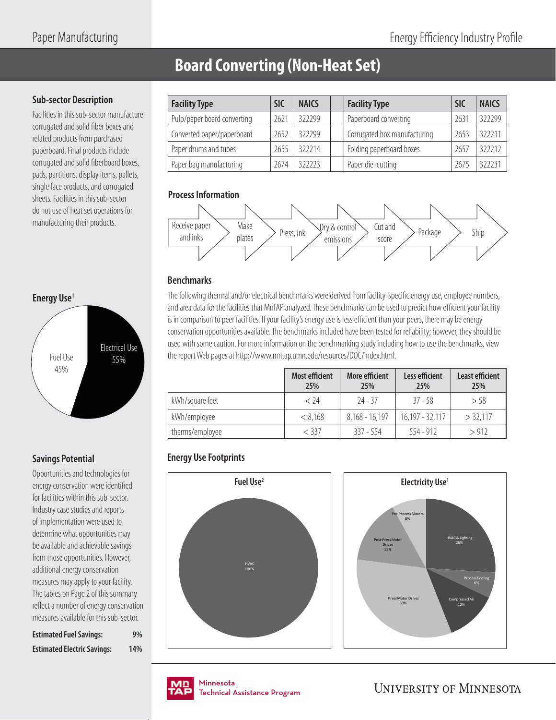# **Board Converting (Non-Heat Set)**

#### **Sub-sector Description**

Facilities in this sub-sector manufacture corrugated and solid fiber boxes and related products from purchased paperboard. Final products include corrugated and solid fiberboard boxes, pads, partitions, display items, pallets, single face products, and corrugated sheets. Facilities in this sub-sector do not use of heat set operations for manufacturing their products.



### **Savings Potential**

Opportunities and technologies for energy conservation were identified for facilities within this sub-sector. Industry case studies and reports of implementation were used to determine what opportunities may be available and achievable savings from those opportunities. However, additional energy conservation measures may apply to your facility. The tables on Page 2 of this summary reflect a number of energy conservation measures available for this sub-sector.

| <b>Estimated Fuel Savings:</b>     | 9%  |
|------------------------------------|-----|
| <b>Estimated Electric Savings:</b> | 14% |

| <b>Facility Type</b>        | <b>SIC</b> | <b>NAICS</b> | <b>Facility Type</b>         | <b>SIC</b> | <b>NAICS</b> |
|-----------------------------|------------|--------------|------------------------------|------------|--------------|
| Pulp/paper board converting | 2621       | 322299       | Paperboard converting        | 263'       | 322299       |
| Converted paper/paperboard  | 2652       | 322299       | Corrugated box manufacturing | 2653       | 322211       |
| Paper drums and tubes       | 2655       | 322214       | Folding paperboard boxes     | 765        | 322212       |
| Paper bag manufacturing     | 2674       | 322223       | Paper die-cutting            | 2675       | 322231       |

#### **Process Information**



### **Benchmarks**

The following thermal and/or electrical benchmarks were derived from facility-specific energy use, employee numbers, and area data for the facilities that MnTAP analyzed. These benchmarks can be used to predict how efficient your facility is in comparison to peer facilities. If your facility's energy use is less efficient than your peers, there may be energy conservation opportunities available. The benchmarks included have been tested for reliability; however, they should be used with some caution. For more information on the benchmarking study including how to use the benchmarks, view the report Web pages at http://www.mntap.umn.edu/resources/DOC/index.html.

|                 | <b>Most efficient</b><br>25% | More efficient<br>25% | Less efficient<br>25% | <b>Least efficient</b><br>25% |
|-----------------|------------------------------|-----------------------|-----------------------|-------------------------------|
| kWh/square feet | < 74                         | $74 - 37$             | $37 - 58$             | $>$ 58                        |
| kWh/employee    | < 8.168                      | $8,168 - 16,197$      | $16,197 - 32,117$     | $>$ 32,117                    |
| therms/employee | $<$ 337                      | $337 - 554$           | $554 - 912$           | > 912                         |

### **Energy Use Footprints**







nmesota<br>:chnical Assis Technical Assistance Program .<br>Tochnical / Technical Assistance Program